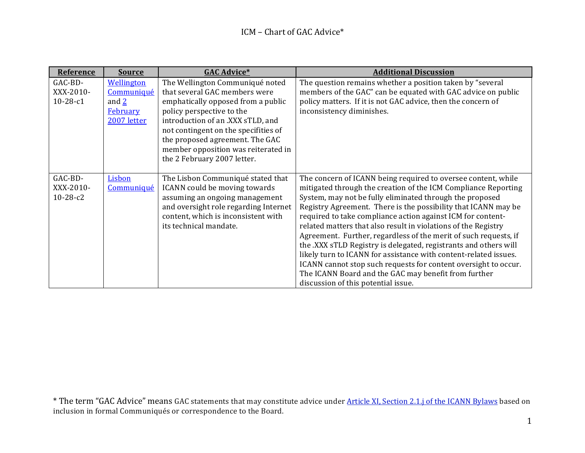| Reference      | <b>Source</b> | <b>GAC Advice*</b>                                                      | <b>Additional Discussion</b>                                     |
|----------------|---------------|-------------------------------------------------------------------------|------------------------------------------------------------------|
| GAC-BD-        | Wellington    | The Wellington Communiqué noted                                         | The question remains whether a position taken by "several        |
| XXX-2010-      | Communiqué    | that several GAC members were                                           | members of the GAC" can be equated with GAC advice on public     |
| $10-28-c1$     | and 2         | emphatically opposed from a public                                      | policy matters. If it is not GAC advice, then the concern of     |
|                | February      | policy perspective to the                                               | inconsistency diminishes.                                        |
|                | 2007 letter   | introduction of an .XXX sTLD, and                                       |                                                                  |
|                |               | not contingent on the specifities of<br>the proposed agreement. The GAC |                                                                  |
|                |               |                                                                         |                                                                  |
|                |               | member opposition was reiterated in<br>the 2 February 2007 letter.      |                                                                  |
|                |               |                                                                         |                                                                  |
| GAC-BD-        | Lisbon        | The Lisbon Communiqué stated that                                       | The concern of ICANN being required to oversee content, while    |
| XXX-2010-      | Communiqué    | ICANN could be moving towards                                           | mitigated through the creation of the ICM Compliance Reporting   |
| $10 - 28 - c2$ |               | assuming an ongoing management                                          | System, may not be fully eliminated through the proposed         |
|                |               | and oversight role regarding Internet                                   | Registry Agreement. There is the possibility that ICANN may be   |
|                |               | content, which is inconsistent with                                     | required to take compliance action against ICM for content-      |
|                |               | its technical mandate.                                                  | related matters that also result in violations of the Registry   |
|                |               |                                                                         | Agreement. Further, regardless of the merit of such requests, if |
|                |               |                                                                         | the .XXX sTLD Registry is delegated, registrants and others will |
|                |               |                                                                         | likely turn to ICANN for assistance with content-related issues. |
|                |               |                                                                         | ICANN cannot stop such requests for content oversight to occur.  |
|                |               |                                                                         | The ICANN Board and the GAC may benefit from further             |
|                |               |                                                                         | discussion of this potential issue.                              |

\* The term "GAC Advice" means GAC statements that may constitute advice under Article XI, Section 2.1.j of the ICANN Bylaws based on inclusion in formal Communiqués or correspondence to the Board.